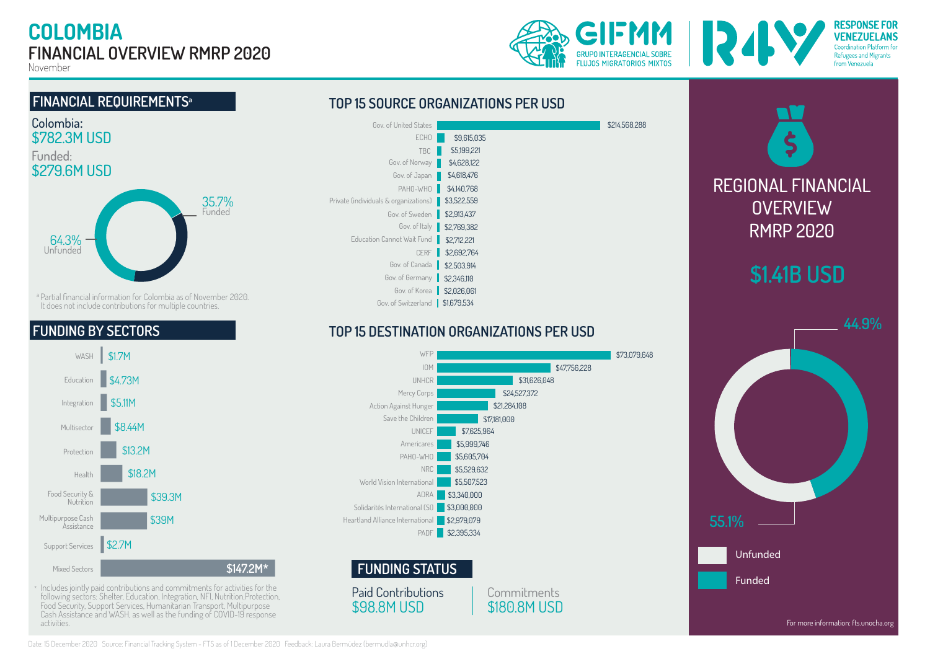## FINANCIAL OVERVIEW RMRP 2020 **COLOMBIA**

November





Includes jointly paid contributions and commitments for activities for the \* Includes jointly paid contributions and commitments for activities for the<br>following sectors: Shelter, Education, Integration, NFI, Nutrition,Protection, Food Security, Support Services, Humanitarian Transport, Multipurpose Cash Assistance and WASH, as well as the funding of COVID-19 response activities.

Paid Contributions \$98.8M USD

Commitments \$180.8M USD

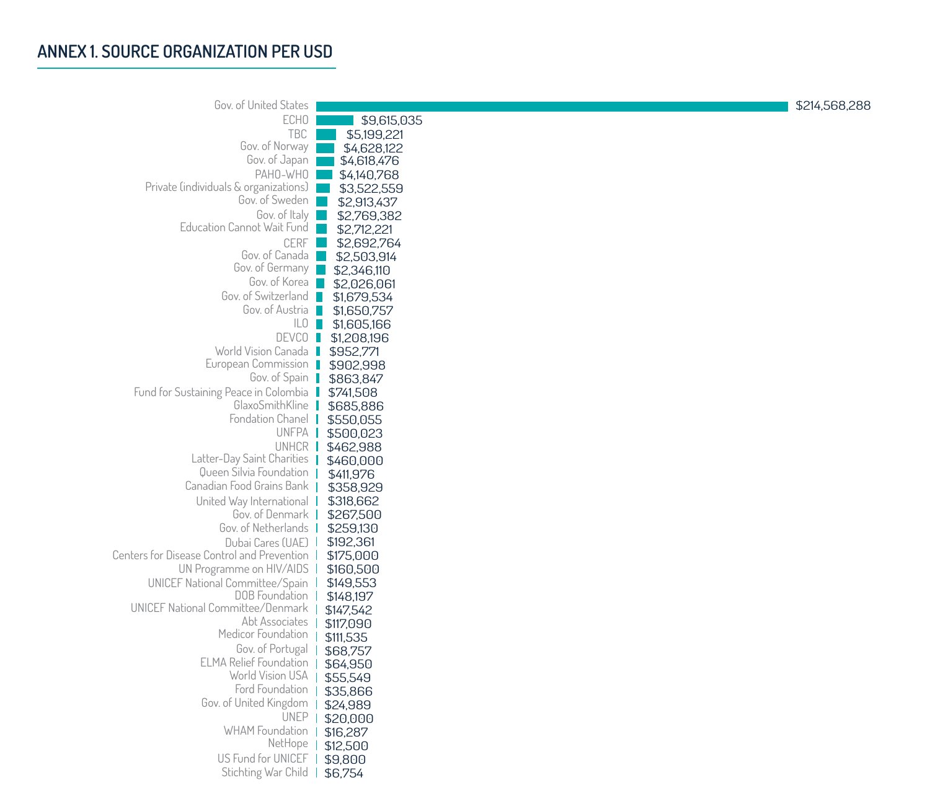## ANNEX 1. SOURCE ORGANIZATION PER USD

| Gov. of United States                      |                        | \$214,568,288 |
|--------------------------------------------|------------------------|---------------|
| <b>ECHO</b>                                | \$9,615,035            |               |
| TBC                                        | \$5,199,221            |               |
| Gov. of Norway                             | \$4,628,122            |               |
| Gov. of Japan                              | \$4,618,476            |               |
| PAHO-WHO                                   | \$4,140,768            |               |
| Private (individuals & organizations)      | \$3,522,559            |               |
| Gov. of Sweden                             | \$2,913,437            |               |
| Gov. of Italy                              | \$2,769,382            |               |
| Education Cannot Wait Fund                 | \$2,712,221<br>n.      |               |
| <b>CERF</b>                                | \$2,692,764            |               |
| Gov. of Canada                             | \$2,503,914            |               |
| Gov. of Germany                            | a s<br>\$2,346,110     |               |
| Gov. of Korea                              | \$2,026,061            |               |
| Gov. of Switzerland                        | \$1,679,534            |               |
| Gov. of Austria                            | \$1,650,757            |               |
| ILO                                        | \$1,605,166            |               |
| DEVCO <b>I</b>                             | \$1,208,196            |               |
| World Vision Canada                        | \$952,771              |               |
| European Commission                        | \$902,998              |               |
| Gov. of Spain                              | \$863,847              |               |
| Fund for Sustaining Peace in Colombia      | \$741,508              |               |
| GlaxoSmithKline                            | \$685,886              |               |
| Fondation Chanel   \$550,055<br>UNFPA      |                        |               |
| UNHCR                                      | \$500,023              |               |
| Latter-Day Saint Charities                 | \$462,988<br>\$460,000 |               |
| Queen Silvia Foundation                    | \$411,976              |               |
| Canadian Food Grains Bank                  | \$358,929              |               |
| United Way International                   | \$318,662              |               |
| Gov. of Denmark                            | \$267,500              |               |
| Gov. of Netherlands                        | \$259,130              |               |
| Dubai Cares (UAE)                          | \$192,361              |               |
| Centers for Disease Control and Prevention | \$175,000              |               |
| UN Programme on HIV/AIDS                   | \$160,500              |               |
| UNICEF National Committee/Spain            | \$149,553              |               |
| DOB Foundation                             | \$148,197              |               |
| UNICEF National Committee/Denmark          | \$147,542              |               |
| Abt Associates                             | \$117,090              |               |
| Medicor Foundation                         | \$111,535              |               |
| Gov. of Portugal                           | \$68,757               |               |
| <b>ELMA Relief Foundation</b>              | \$64,950               |               |
| World Vision USA                           | \$55,549               |               |
| Ford Foundation                            | \$35,866               |               |
| Gov. of United Kingdom                     | \$24,989               |               |
| <b>UNEP</b>                                | \$20,000               |               |
| WHAM Foundation<br>NetHope                 | \$16,287               |               |
| US Fund for UNICEF                         | \$12,500               |               |
|                                            | \$9,800                |               |
| Stichting War Child                        | \$6,754                |               |